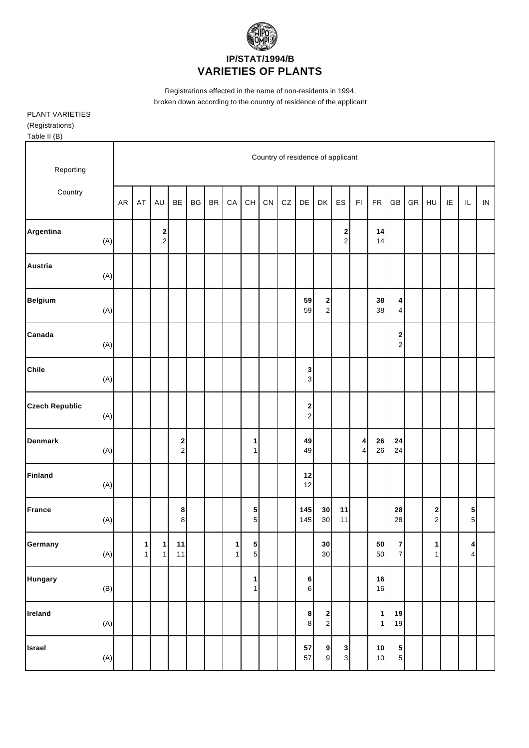

Registrations effected in the name of non-residents in 1994, broken down according to the country of residence of the applicant

PLANT VARIETIES (Registrations) Table II (B)

| Reporting                       |           |        |                               |                               |    |           |        |                              |    |            |                                         |                                                | Country of residence of applicant |                         |                              |                                  |    |                              |    |                             |            |
|---------------------------------|-----------|--------|-------------------------------|-------------------------------|----|-----------|--------|------------------------------|----|------------|-----------------------------------------|------------------------------------------------|-----------------------------------|-------------------------|------------------------------|----------------------------------|----|------------------------------|----|-----------------------------|------------|
| Country                         | <b>AR</b> | AT     | AU                            | BE                            | BG | <b>BR</b> | CA     | CH                           | CN | ${\tt CZ}$ | DE                                      | DK                                             | ES                                | $\mathsf{F} \mathsf{I}$ | FR                           | GB                               | GR | HU                           | IE | $\sf IL$                    | ${\sf IN}$ |
| Argentina<br>(A)                |           |        | $\mathbf 2$<br>$\overline{c}$ |                               |    |           |        |                              |    |            |                                         |                                                | $\mathbf{2}$<br>$\overline{2}$    |                         | 14<br>14                     |                                  |    |                              |    |                             |            |
| <b>Austria</b><br>(A)           |           |        |                               |                               |    |           |        |                              |    |            |                                         |                                                |                                   |                         |                              |                                  |    |                              |    |                             |            |
| <b>Belgium</b><br>(A)           |           |        |                               |                               |    |           |        |                              |    |            | 59<br>59                                | $\begin{array}{c} \mathbf{2} \\ 2 \end{array}$ |                                   |                         | 38<br>38                     | 4<br>$\overline{\mathbf{4}}$     |    |                              |    |                             |            |
| Canada<br>(A)                   |           |        |                               |                               |    |           |        |                              |    |            |                                         |                                                |                                   |                         |                              | 2<br>$\mathbf 2$                 |    |                              |    |                             |            |
| <b>Chile</b><br>(A)             |           |        |                               |                               |    |           |        |                              |    |            | 3<br>3                                  |                                                |                                   |                         |                              |                                  |    |                              |    |                             |            |
| <b>Czech Republic</b><br>(A)    |           |        |                               |                               |    |           |        |                              |    |            | $\mathbf{2}$<br>$\overline{\mathbf{c}}$ |                                                |                                   |                         |                              |                                  |    |                              |    |                             |            |
| <b>Denmark</b><br>(A)           |           |        |                               | $\mathbf 2$<br>$\overline{c}$ |    |           |        | 1<br>$\mathbf{1}$            |    |            | 49<br>49                                |                                                |                                   | 4<br>4                  | ${\bf 26}$<br>26             | 24<br>24                         |    |                              |    |                             |            |
| <b>Finland</b><br>(A)           |           |        |                               |                               |    |           |        |                              |    |            | 12<br>12                                |                                                |                                   |                         |                              |                                  |    |                              |    |                             |            |
| France<br>(A)                   |           |        |                               | 8<br>$\bf 8$                  |    |           |        | 5<br>$\mathbf 5$             |    |            | 145<br>145                              | 30<br>30                                       | 11<br>11                          |                         |                              | 28<br>28                         |    | $\mathbf 2$<br>$\mathbf 2$   |    | ${\bf 5}$<br>$\overline{5}$ |            |
| Germany<br>(A)                  |           | 1<br>1 | 1<br>$\mathbf{1}$             | 11<br>11                      |    |           | 1<br>1 | $5\vert$<br>5 <sup>1</sup>   |    |            |                                         | 30<br>30                                       |                                   |                         | 50<br>50                     | $\overline{7}$<br>$\overline{7}$ |    | $\mathbf{1}$<br>$\mathbf{1}$ |    | $\vert$<br>$\overline{4}$   |            |
| <b>Hungary</b><br>(B)           |           |        |                               |                               |    |           |        | $\mathbf{1}$<br>$\mathbf{1}$ |    |            | 6<br>$\sqrt{6}$                         |                                                |                                   |                         | 16<br>16                     |                                  |    |                              |    |                             |            |
| Ireland<br>(A)                  |           |        |                               |                               |    |           |        |                              |    |            | $\boldsymbol{8}$<br>$\boldsymbol{8}$    | $\begin{array}{c} \n2 \end{array}$             |                                   |                         | $\mathbf{1}$<br>$\mathbf{1}$ | 19<br>19                         |    |                              |    |                             |            |
| <b>Israel</b><br>$(\mathsf{A})$ |           |        |                               |                               |    |           |        |                              |    |            | 57<br>57                                | $\mathbf{9}$<br>$\boldsymbol{9}$               | $\mathbf{3}$<br>$\overline{3}$    |                         | 10<br>$10$                   | 5<br>$\overline{5}$              |    |                              |    |                             |            |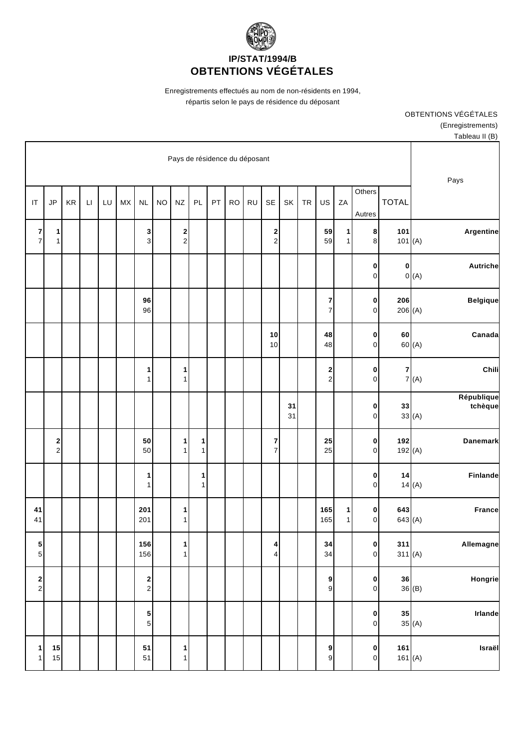

Enregistrements effectués au nom de non-résidents en 1994, répartis selon le pays de résidence du déposant

> OBTENTIONS VÉGÉTALES (Enregistrements) Tableau II (B)

|                         |                  |              |                                  |                   |                              |           |          |                     |           |           |    |        | Pays de résidence du déposant         |           |                                                |           |    |              |    |                               |                                       |
|-------------------------|------------------|--------------|----------------------------------|-------------------|------------------------------|-----------|----------|---------------------|-----------|-----------|----|--------|---------------------------------------|-----------|------------------------------------------------|-----------|----|--------------|----|-------------------------------|---------------------------------------|
| Pays                    |                  | <b>TOTAL</b> | Others<br>Autres                 | ZA                | US                           | <b>TR</b> | SK       | <b>SE</b>           | <b>RU</b> | <b>RO</b> | PT | PL     | $N\mathsf{Z}$                         | <b>NO</b> | <b>NL</b>                                      | <b>MX</b> | LU | $\mathsf{L}$ | KR | JP                            | IT                                    |
| Argentine               | 101<br>101(A)    |              | 8<br>8                           | 1<br>$\mathbf{1}$ | 59<br>59                     |           |          | 2<br>$\overline{c}$ |           |           |    |        | $\begin{array}{c} 2 \\ 2 \end{array}$ |           | 3<br>3                                         |           |    |              |    | 1<br>$\mathbf{1}$             | 7<br>$\overline{7}$                   |
| <b>Autriche</b><br>0(A) | 0                |              | $\pmb{0}$<br>$\mathsf{O}\xspace$ |                   |                              |           |          |                     |           |           |    |        |                                       |           |                                                |           |    |              |    |                               |                                       |
| <b>Belgique</b>         | 206<br>206(A)    |              | 0<br>0                           |                   | 7<br>$\overline{7}$          |           |          |                     |           |           |    |        |                                       |           | 96<br>96                                       |           |    |              |    |                               |                                       |
| Canada<br>60 (A)        | 60               |              | 0<br>0                           |                   | 48<br>48                     |           |          | 10<br>10            |           |           |    |        |                                       |           |                                                |           |    |              |    |                               |                                       |
| Chili<br>7(A)           | 7                |              | $\pmb{0}$<br>0                   |                   | 2<br>$\overline{\mathbf{c}}$ |           |          |                     |           |           |    |        | $\mathbf 1$<br>$\mathbf{1}$           |           | 1<br>1                                         |           |    |              |    |                               |                                       |
| République<br>tchèque   | 33<br>33(A)      |              | 0<br>0                           |                   |                              |           | 31<br>31 |                     |           |           |    |        |                                       |           |                                                |           |    |              |    |                               |                                       |
| <b>Danemark</b>         | 192<br>192(A)    |              | 0<br>0                           |                   | 25<br>25                     |           |          | 7<br>$\overline{7}$ |           |           |    | 1<br>1 | $\mathbf{1}$<br>$\mathbf{1}$          |           | 50<br>50                                       |           |    |              |    | $\mathbf 2$<br>$\overline{2}$ |                                       |
| Finlande<br>14(A)       | 14               |              | 0<br>0                           |                   |                              |           |          |                     |           |           |    | 1<br>1 |                                       |           | 1<br>1                                         |           |    |              |    |                               |                                       |
| <b>France</b>           | 643<br>643(A)    |              | 0<br>0                           | 1<br>$\mathbf{1}$ | 165<br>165                   |           |          |                     |           |           |    |        | $\mathbf{1}$<br>$\mathbf{1}$          |           | 201<br>201                                     |           |    |              |    |                               | 41<br>41                              |
| Allemagne               | 311<br>311(A)    |              | 0 <br>$\mathbf{0}$               |                   | 34<br>34                     |           |          | $\frac{4}{4}$       |           |           |    |        | $1\vert$<br>1                         |           | 156<br>156                                     |           |    |              |    |                               | 5<br>5                                |
| Hongrie<br>36(B)        | 36               |              | $\pmb{0}$<br>$\mathbf 0$         |                   | $9$<br>9                     |           |          |                     |           |           |    |        |                                       |           | $\begin{array}{c} \mathbf{2} \\ 2 \end{array}$ |           |    |              |    |                               | $\begin{array}{c} 2 \\ 2 \end{array}$ |
| Irlande<br>35(A)        | 35               |              | 0<br>$\mathbf 0$                 |                   |                              |           |          |                     |           |           |    |        |                                       |           | $\frac{5}{5}$                                  |           |    |              |    |                               |                                       |
| Israël                  | 161<br>161 $(A)$ |              | $\pmb{0}$<br>$\mathbf 0$         |                   | $\mathbf{9}$<br>$\mathbf{9}$ |           |          |                     |           |           |    |        | $\mathbf{1}$<br>$\mathbf{1}$          |           | 51<br>51                                       |           |    |              |    | 15<br>15                      | 1<br>1                                |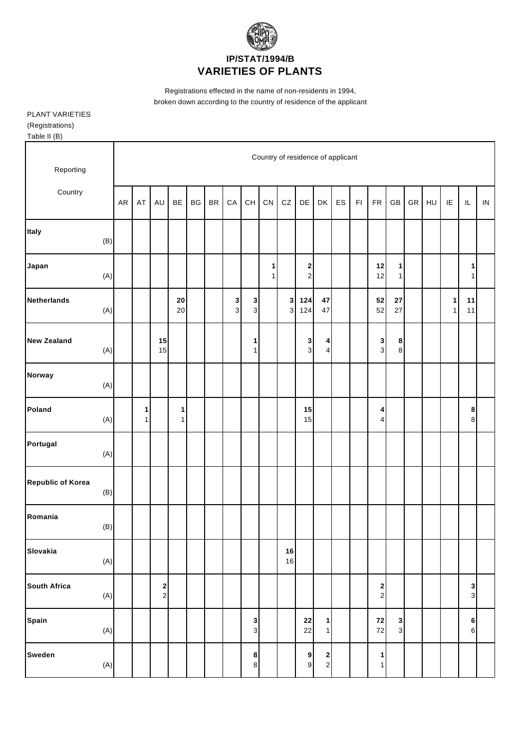

Registrations effected in the name of non-residents in 1994, broken down according to the country of residence of the applicant

## PLANT VARIETIES (Registrations) Table II (B)

| $. \infty. \infty. \infty$ |                |            |                                   |                                         |                   |    |               |               |                                          |        |                              |                     |                                          |    |                         |                              |                     |    |    |                   |                   |            |
|----------------------------|----------------|------------|-----------------------------------|-----------------------------------------|-------------------|----|---------------|---------------|------------------------------------------|--------|------------------------------|---------------------|------------------------------------------|----|-------------------------|------------------------------|---------------------|----|----|-------------------|-------------------|------------|
| Reporting                  |                |            | Country of residence of applicant |                                         |                   |    |               |               |                                          |        |                              |                     |                                          |    |                         |                              |                     |    |    |                   |                   |            |
| Country                    |                | ${\sf AR}$ | AT                                | AU                                      | BE                | BG | $\mathsf{BR}$ | ${\sf CA}$    | $\mathsf{CH}% \left( \mathcal{M}\right)$ | CN     | ${\tt CZ}$                   | DE                  | DK                                       | ES | $\mathsf{F} \mathsf{I}$ | ${\sf FR}$                   | $\mathsf{GB}$       | GR | HU | IE                | $\sf IL$          | ${\sf IN}$ |
| Italy                      | (B)            |            |                                   |                                         |                   |    |               |               |                                          |        |                              |                     |                                          |    |                         |                              |                     |    |    |                   |                   |            |
| Japan                      | (A)            |            |                                   |                                         |                   |    |               |               |                                          | 1<br>1 |                              | 2<br>$\overline{a}$ |                                          |    |                         | 12<br>12                     | 1<br>1              |    |    |                   | 1<br>$\mathbf{1}$ |            |
| <b>Netherlands</b>         | (A)            |            |                                   |                                         | ${\bf 20}$<br>20  |    |               | <b>3</b><br>3 | $\mathbf 3$<br>$\mathbf{3}$              |        | $\mathbf{3}$<br>$\mathbf{3}$ | 124<br>124          | 47<br>47                                 |    |                         | ${\bf 52}$<br>52             | 27<br>27            |    |    | 1<br>$\mathbf{1}$ | 11<br>11          |            |
| <b>New Zealand</b>         | (A)            |            |                                   | 15<br>15                                |                   |    |               |               | 1<br>$\mathbf{1}$                        |        |                              | 3<br>$\overline{3}$ | 4<br>$\vert 4 \vert$                     |    |                         | 3<br>$\mathbf{3}$            | 8<br>8              |    |    |                   |                   |            |
| Norway                     | (A)            |            |                                   |                                         |                   |    |               |               |                                          |        |                              |                     |                                          |    |                         |                              |                     |    |    |                   |                   |            |
| Poland                     | (A)            |            | 1<br>$\mathbf{1}$                 |                                         | 1<br>$\mathbf{1}$ |    |               |               |                                          |        |                              | 15<br>15            |                                          |    |                         | 4<br>4                       |                     |    |    |                   | 8<br>8            |            |
| Portugal                   | (A)            |            |                                   |                                         |                   |    |               |               |                                          |        |                              |                     |                                          |    |                         |                              |                     |    |    |                   |                   |            |
| <b>Republic of Korea</b>   | (B)            |            |                                   |                                         |                   |    |               |               |                                          |        |                              |                     |                                          |    |                         |                              |                     |    |    |                   |                   |            |
| Romania                    | (B)            |            |                                   |                                         |                   |    |               |               |                                          |        |                              |                     |                                          |    |                         |                              |                     |    |    |                   |                   |            |
| Slovakia                   | (A)            |            |                                   |                                         |                   |    |               |               |                                          |        | 16<br>16                     |                     |                                          |    |                         |                              |                     |    |    |                   |                   |            |
| <b>South Africa</b>        | (A)            |            |                                   | $\overline{\mathbf{c}}$<br>$\mathbf{2}$ |                   |    |               |               |                                          |        |                              |                     |                                          |    |                         | 2<br>$\overline{\mathbf{c}}$ |                     |    |    |                   | 3<br>3            |            |
| Spain                      | (A)            |            |                                   |                                         |                   |    |               |               | 3<br>$\ensuremath{\mathsf{3}}$           |        |                              | 22<br>22            | 1<br>1                                   |    |                         | 72<br>$\bf 72$               | 3<br>$\overline{3}$ |    |    |                   | 6<br>$\mathbf 6$  |            |
| <b>Sweden</b>              | $(\mathsf{A})$ |            |                                   |                                         |                   |    |               |               | 8<br>$\bf8$                              |        |                              | 9<br>$\mathbf{9}$   | $\begin{array}{c} \n2 \\ 2\n\end{array}$ |    |                         | 1<br>1                       |                     |    |    |                   |                   |            |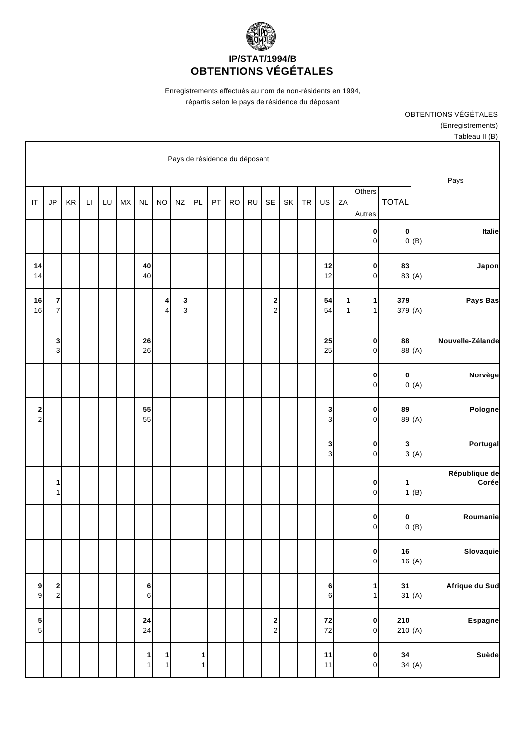

Enregistrements effectués au nom de non-résidents en 1994, répartis selon le pays de résidence du déposant

> OBTENTIONS VÉGÉTALES (Enregistrements) Tableau II (B)

|                                                         |                          |                                |        |                             |           |    |                                       |           |           |    |                   | Pays de résidence du déposant |                   |                              |    |    |                        |                      |                                          |                               |
|---------------------------------------------------------|--------------------------|--------------------------------|--------|-----------------------------|-----------|----|---------------------------------------|-----------|-----------|----|-------------------|-------------------------------|-------------------|------------------------------|----|----|------------------------|----------------------|------------------------------------------|-------------------------------|
| Pays                                                    | <b>TOTAL</b>             | Others<br>Autres               | ZA     | US                          | <b>TR</b> | SK | SE                                    | <b>RU</b> | <b>RO</b> | PT | PL                | $N\mathsf{Z}$                 | <b>NO</b>         | <b>NL</b>                    | MX | LU | $\mathsf{L}\mathsf{I}$ | $\mathsf{KR}\xspace$ | JP                                       | IT                            |
| <b>Italie</b><br>0(B)                                   | $\pmb{0}$                | $\mathbf{0}$<br>$\overline{0}$ |        |                             |           |    |                                       |           |           |    |                   |                               |                   |                              |    |    |                        |                      |                                          |                               |
| Japon<br>83 (A)                                         | 83                       | $\mathbf{0}$<br>$\overline{0}$ |        | 12<br>12                    |           |    |                                       |           |           |    |                   |                               |                   | 40<br>40                     |    |    |                        |                      |                                          | 14<br>14                      |
| Pays Bas                                                | 379<br>379 (A)           | $\vert$<br>1 <sup>1</sup>      | 1<br>1 | 54<br>54                    |           |    | $\mathbf 2$<br>$\mathbf 2$            |           |           |    |                   | 3<br>3                        | 4<br>4            |                              |    |    |                        |                      | $\overline{7}$<br>$\overline{7}$         | 16<br>16                      |
| Nouvelle-Zélande<br>88 (A)                              | 88                       | $\mathbf{0}$<br>$\overline{0}$ |        | 25<br>25                    |           |    |                                       |           |           |    |                   |                               |                   | 26<br>26                     |    |    |                        |                      | 3<br>3 <sup>1</sup>                      |                               |
| Norvège<br>$0($ A $)$                                   | $\pmb{0}$                | $\mathbf{0}$<br>$\overline{0}$ |        |                             |           |    |                                       |           |           |    |                   |                               |                   |                              |    |    |                        |                      |                                          |                               |
| Pologne<br>89 (A)                                       | 89                       | $\mathbf{0}$<br>$\overline{0}$ |        | 3<br>3                      |           |    |                                       |           |           |    |                   |                               |                   | 55<br>55                     |    |    |                        |                      |                                          | $\mathbf 2$<br>$\overline{c}$ |
| Portugal<br>3(A)                                        | 3                        | $\pmb{0}$<br>$\overline{0}$    |        | 3<br>3                      |           |    |                                       |           |           |    |                   |                               |                   |                              |    |    |                        |                      |                                          |                               |
| République de<br>Corée<br>(B)                           | 1<br>$\mathbf{1}$        | $\pmb{0}$<br>$\overline{0}$    |        |                             |           |    |                                       |           |           |    |                   |                               |                   |                              |    |    |                        |                      | 1<br>$\mathbf{1}$                        |                               |
| Roumanie<br>(B)                                         | 0<br>$\mathsf{O}\xspace$ | 0<br>$\overline{0}$            |        |                             |           |    |                                       |           |           |    |                   |                               |                   |                              |    |    |                        |                      |                                          |                               |
| Slovaquie<br>16<br>16 $(A)$                             |                          | 0 <br> 0                       |        |                             |           |    |                                       |           |           |    |                   |                               |                   |                              |    |    |                        |                      |                                          |                               |
| Afrique du Sud<br>31<br>$31$ (A)                        |                          | $\mathbf{1}$<br>1              |        | 6<br>$6 \mid$               |           |    |                                       |           |           |    |                   |                               |                   | 6<br>6                       |    |    |                        |                      | $\begin{array}{c} \n2 \\ 2\n\end{array}$ | 9<br>$\mathsf g$              |
| <b>Espagne</b>                                          | 210<br>210(A)            | 0 <br>$\overline{0}$           |        | ${\bf 72}$<br>$\mathbf{72}$ |           |    | $\begin{array}{c} 2 \\ 2 \end{array}$ |           |           |    |                   |                               |                   | ${\bf 24}$<br>24             |    |    |                        |                      |                                          | $\frac{5}{5}$                 |
| Suède<br>$\begin{array}{c c} 34 & A \end{array}$<br>(A) |                          | $\mathbf{0}$<br>$\circ$        |        | $11$<br>$11$                |           |    |                                       |           |           |    | $\mathbf{1}$<br>1 |                               | 1<br>$\mathbf{1}$ | $\mathbf{1}$<br>$\mathbf{1}$ |    |    |                        |                      |                                          |                               |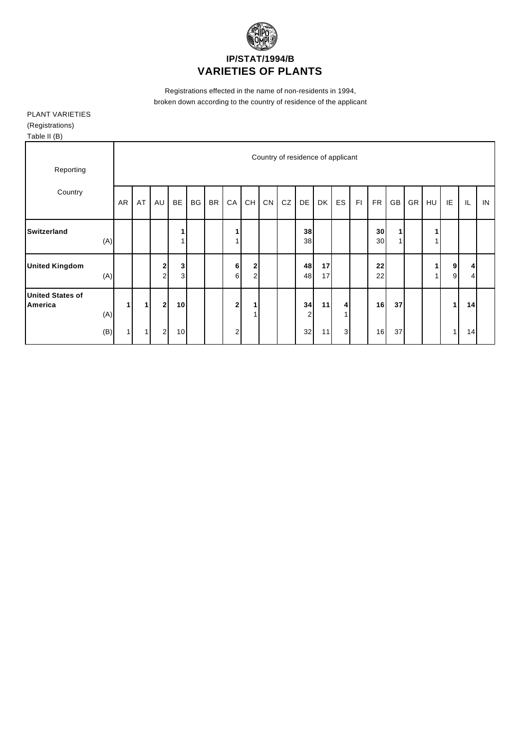

Registrations effected in the name of non-residents in 1994, broken down according to the country of residence of the applicant

## PLANT VARIETIES (Registrations) Table II (B)

| Reporting                          |           |              |                                |                              |    |           |                |                                          |            |    | Country of residence of applicant |          |                         |    |           |    |           |    |        |    |    |
|------------------------------------|-----------|--------------|--------------------------------|------------------------------|----|-----------|----------------|------------------------------------------|------------|----|-----------------------------------|----------|-------------------------|----|-----------|----|-----------|----|--------|----|----|
| Country                            | AR        | AT           | AU                             | <b>BE</b>                    | BG | <b>BR</b> | ${\sf CA}$     | $\mathsf{CH}% \left( \mathcal{M}\right)$ | ${\sf CN}$ | CZ | DE                                | DK       | ES                      | F1 | <b>FR</b> | GB | <b>GR</b> | HU | IE     | IL | IN |
| <b>Switzerland</b>                 | (A)       |              |                                |                              |    |           |                |                                          |            |    | 38<br>38                          |          |                         |    | 30<br>30  | 1  |           |    |        |    |    |
| <b>United Kingdom</b>              | (A)       |              | $\mathbf{2}$<br>$\overline{a}$ | $\mathbf{3}$<br>$\mathbf{3}$ |    |           | 6<br>6         | $\mathbf 2$<br>2                         |            |    | 48<br>48                          | 17<br>17 |                         |    | 22<br>22  |    |           |    | 9<br>9 | 4  |    |
| <b>United States of</b><br>America | 1.<br>(A) | $\mathbf{1}$ | 2 <sub>l</sub>                 | 10                           |    |           | $\overline{2}$ | 1<br>1                                   |            |    | 34<br>2                           | 11       | $\overline{\mathbf{4}}$ |    | 16        | 37 |           |    | 1.     | 14 |    |
|                                    | (B)<br>1  | $\mathbf{1}$ | $\overline{2}$                 | 10                           |    |           | $\overline{2}$ |                                          |            |    | 32                                | 11       | $\mathbf{3}$            |    | 16        | 37 |           |    | и      | 14 |    |